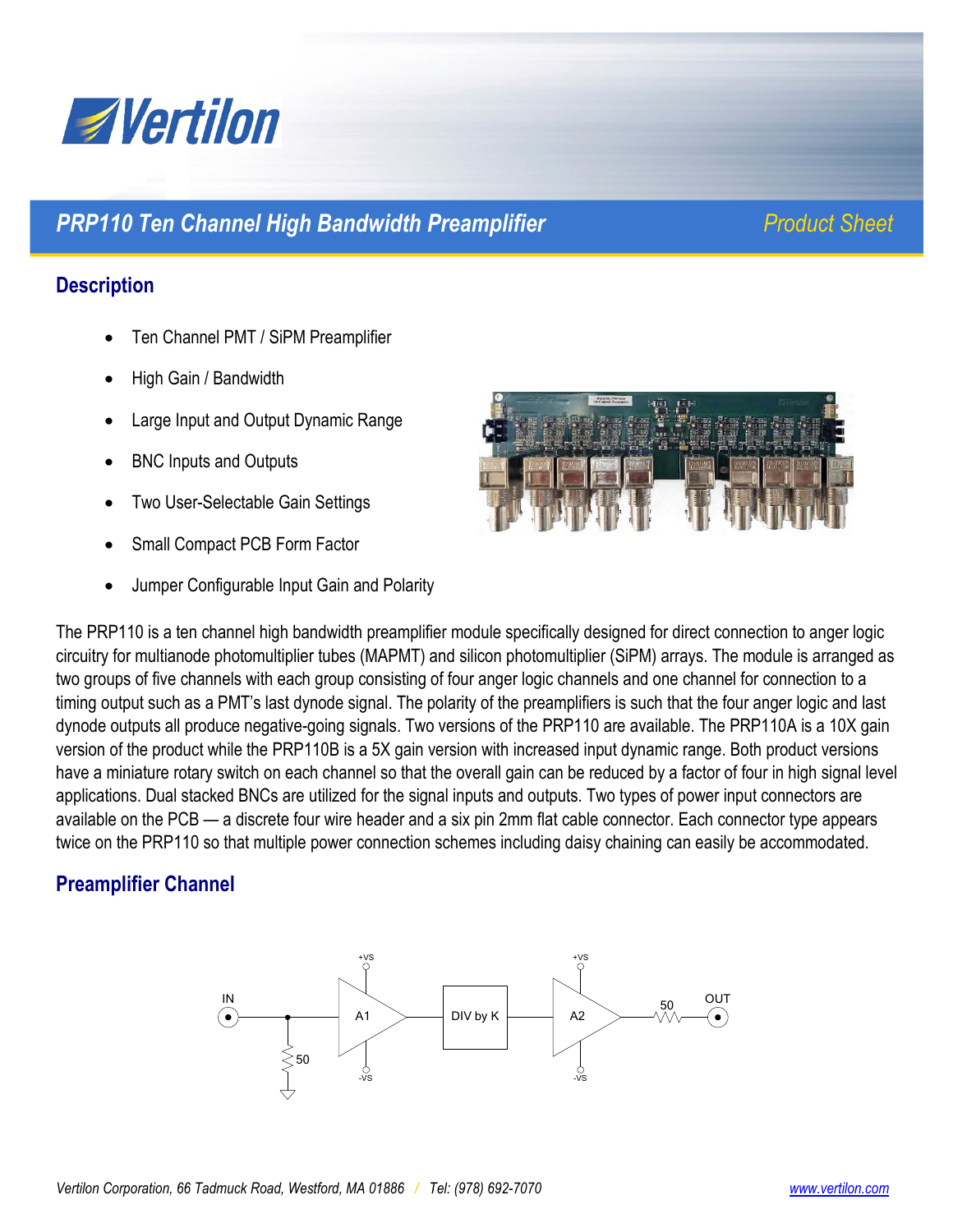

## **PRP110 Ten Channel High Bandwidth Preamplifier** *Product Sheet Product Sheet*

### **Description**

- Ten Channel PMT / SiPM Preamplifier
- High Gain / Bandwidth
- Large Input and Output Dynamic Range
- BNC Inputs and Outputs
- Two User-Selectable Gain Settings
- Small Compact PCB Form Factor
- Jumper Configurable Input Gain and Polarity



The PRP110 is a ten channel high bandwidth preamplifier module specifically designed for direct connection to anger logic circuitry for multianode photomultiplier tubes (MAPMT) and silicon photomultiplier (SiPM) arrays. The module is arranged as two groups of five channels with each group consisting of four anger logic channels and one channel for connection to a timing output such as a PMT's last dynode signal. The polarity of the preamplifiers is such that the four anger logic and last dynode outputs all produce negative-going signals. Two versions of the PRP110 are available. The PRP110A is a 10X gain version of the product while the PRP110B is a 5X gain version with increased input dynamic range. Both product versions have a miniature rotary switch on each channel so that the overall gain can be reduced by a factor of four in high signal level applications. Dual stacked BNCs are utilized for the signal inputs and outputs. Two types of power input connectors are available on the PCB — a discrete four wire header and a six pin 2mm flat cable connector. Each connector type appears twice on the PRP110 so that multiple power connection schemes including daisy chaining can easily be accommodated.

### **Preamplifier Channel**